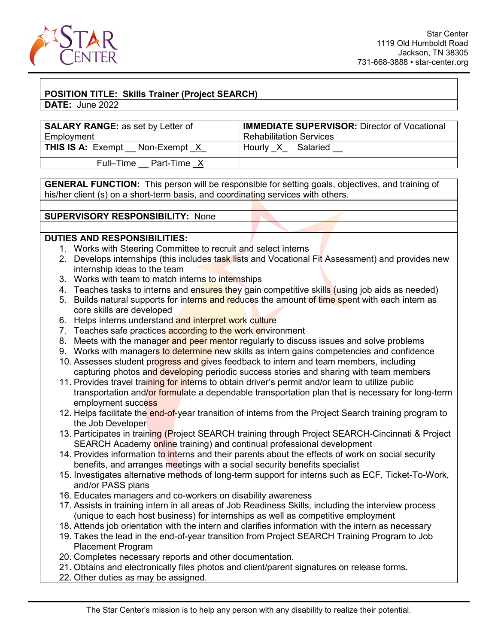

## **POSITION TITLE: Skills Trainer (Project SEARCH)**

**DATE:** June 2022

| <b>SALARY RANGE:</b> as set by Letter of | <b>IMMEDIATE SUPERVISOR: Director of Vocational</b> |
|------------------------------------------|-----------------------------------------------------|
| Employment                               | <b>Rehabilitation Services</b>                      |
| <b>THIS IS A: Exempt</b><br>Non-Exempt X | Hourly X Salaried                                   |
| Full-Time<br>Part-Time X                 |                                                     |

**GENERAL FUNCTION:** This person will be responsible for setting goals, objectives, and training of his/her client (s) on a short-term basis, and coordinating services with others.

## **SUPERVISORY RESPONSIBILITY:** None

## **DUTIES AND RESPONSIBILITIES:**

- 1. Works with Steering Committee to recruit and select interns
- 2. Develops internships (this includes task lists and Vocational Fit Assessment) and provides new internship ideas to the team
- 3. Works with team to match interns to internships
- 4. Teaches tasks to interns and ensures they gain competitive skills (using job aids as needed)
- 5. Builds natural supports for interns and reduces the amount of time spent with each intern as core skills are developed
- 6. Helps interns understand and interpret work culture
- 7. Teaches safe practices **according to the work en**vironment
- 8. Meets with the manager and peer mentor regularly to discuss issues and solve problems
- 9. Works with managers to determine new skills as intern gains competencies and confidence
- 10. Assesses student progress and gives feedback to intern and team members, including capturing photos and developing periodic success stories and sharing with team members
- 11. Provides travel training for interns to obtain driver's permit and/or learn to utilize public transportation and/or formulate a dependable transportation plan that is necessary for long-term employment success
- 12. Helps facilitate the end-of-year transition of interns from the Project Search training program to the Job Developer
- 13. Participates in training (Project SEARCH training through Project SEARCH-Cincinnati & Project SEARCH Academy online training) and continual professional development
- 14. Provides information to interns and their parents about the effects of work on social security benefits, and arranges meetings with a social security benefits specialist
- 15. Investigates alternative methods of long-term support for interns such as ECF, Ticket-To-Work, and/or PASS plans
- 16. Educates managers and co-workers on disability awareness
- 17. Assists in training intern in all areas of Job Readiness Skills, including the interview process (unique to each host business) for internships as well as competitive employment
- 18. Attends job orientation with the intern and clarifies information with the intern as necessary
- 19. Takes the lead in the end-of-year transition from Project SEARCH Training Program to Job Placement Program
- 20. Completes necessary reports and other documentation.
- 21. Obtains and electronically files photos and client/parent signatures on release forms.
- 22. Other duties as may be assigned.